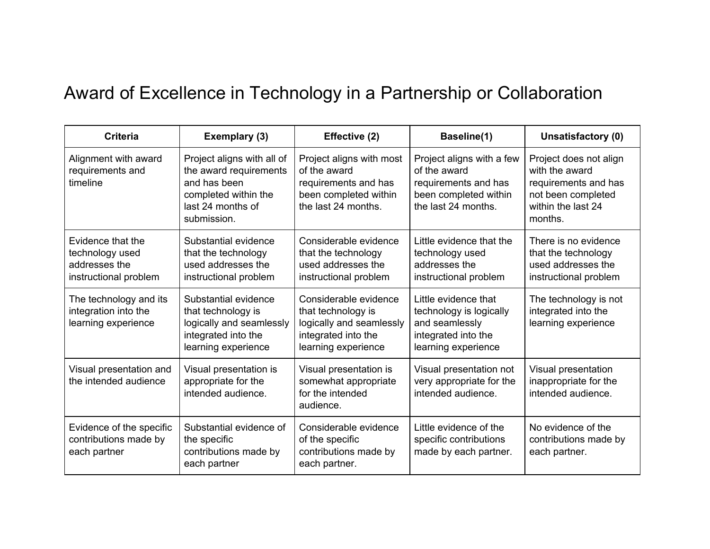## Award of Excellence in Technology in a Partnership or Collaboration

| <b>Criteria</b>                                                                | Exemplary (3)                                                                                                                    | Effective (2)                                                                                                         | Baseline(1)                                                                                                       | Unsatisfactory (0)                                                                                                      |
|--------------------------------------------------------------------------------|----------------------------------------------------------------------------------------------------------------------------------|-----------------------------------------------------------------------------------------------------------------------|-------------------------------------------------------------------------------------------------------------------|-------------------------------------------------------------------------------------------------------------------------|
| Alignment with award<br>requirements and<br>timeline                           | Project aligns with all of<br>the award requirements<br>and has been<br>completed within the<br>last 24 months of<br>submission. | Project aligns with most<br>of the award<br>requirements and has<br>been completed within<br>the last 24 months.      | Project aligns with a few<br>of the award<br>requirements and has<br>been completed within<br>the last 24 months. | Project does not align<br>with the award<br>requirements and has<br>not been completed<br>within the last 24<br>months. |
| Evidence that the<br>technology used<br>addresses the<br>instructional problem | Substantial evidence<br>that the technology<br>used addresses the<br>instructional problem                                       | Considerable evidence<br>that the technology<br>used addresses the<br>instructional problem                           | Little evidence that the<br>technology used<br>addresses the<br>instructional problem                             | There is no evidence<br>that the technology<br>used addresses the<br>instructional problem                              |
| The technology and its<br>integration into the<br>learning experience          | Substantial evidence<br>that technology is<br>logically and seamlessly<br>integrated into the<br>learning experience             | Considerable evidence<br>that technology is<br>logically and seamlessly<br>integrated into the<br>learning experience | Little evidence that<br>technology is logically<br>and seamlessly<br>integrated into the<br>learning experience   | The technology is not<br>integrated into the<br>learning experience                                                     |
| Visual presentation and<br>the intended audience                               | Visual presentation is<br>appropriate for the<br>intended audience.                                                              | Visual presentation is<br>somewhat appropriate<br>for the intended<br>audience.                                       | Visual presentation not<br>very appropriate for the<br>intended audience.                                         | Visual presentation<br>inappropriate for the<br>intended audience.                                                      |
| Evidence of the specific<br>contributions made by<br>each partner              | Substantial evidence of<br>the specific<br>contributions made by<br>each partner                                                 | Considerable evidence<br>of the specific<br>contributions made by<br>each partner.                                    | Little evidence of the<br>specific contributions<br>made by each partner.                                         | No evidence of the<br>contributions made by<br>each partner.                                                            |